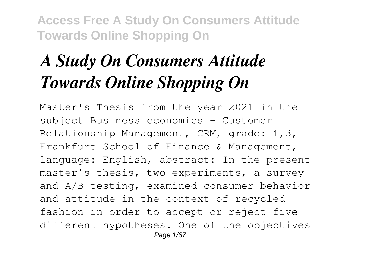# *A Study On Consumers Attitude Towards Online Shopping On*

Master's Thesis from the year 2021 in the subject Business economics - Customer Relationship Management, CRM, grade: 1,3, Frankfurt School of Finance & Management, language: English, abstract: In the present master's thesis, two experiments, a survey and A/B-testing, examined consumer behavior and attitude in the context of recycled fashion in order to accept or reject five different hypotheses. One of the objectives Page 1/67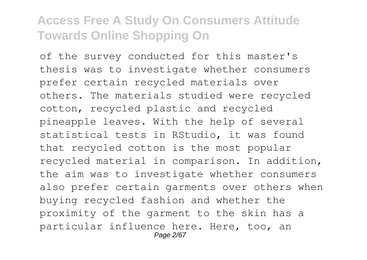of the survey conducted for this master's thesis was to investigate whether consumers prefer certain recycled materials over others. The materials studied were recycled cotton, recycled plastic and recycled pineapple leaves. With the help of several statistical tests in RStudio, it was found that recycled cotton is the most popular recycled material in comparison. In addition, the aim was to investigate whether consumers also prefer certain garments over others when buying recycled fashion and whether the proximity of the garment to the skin has a particular influence here. Here, too, an Page 2/67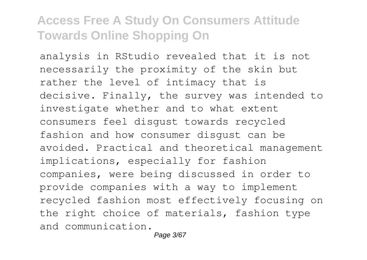analysis in RStudio revealed that it is not necessarily the proximity of the skin but rather the level of intimacy that is decisive. Finally, the survey was intended to investigate whether and to what extent consumers feel disgust towards recycled fashion and how consumer disgust can be avoided. Practical and theoretical management implications, especially for fashion companies, were being discussed in order to provide companies with a way to implement recycled fashion most effectively focusing on the right choice of materials, fashion type and communication.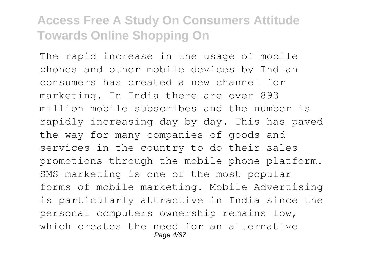The rapid increase in the usage of mobile phones and other mobile devices by Indian consumers has created a new channel for marketing. In India there are over 893 million mobile subscribes and the number is rapidly increasing day by day. This has paved the way for many companies of goods and services in the country to do their sales promotions through the mobile phone platform. SMS marketing is one of the most popular forms of mobile marketing. Mobile Advertising is particularly attractive in India since the personal computers ownership remains low, which creates the need for an alternative Page 4/67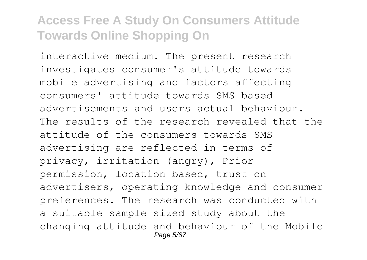interactive medium. The present research investigates consumer's attitude towards mobile advertising and factors affecting consumers' attitude towards SMS based advertisements and users actual behaviour. The results of the research revealed that the attitude of the consumers towards SMS advertising are reflected in terms of privacy, irritation (angry), Prior permission, location based, trust on advertisers, operating knowledge and consumer preferences. The research was conducted with a suitable sample sized study about the changing attitude and behaviour of the Mobile Page 5/67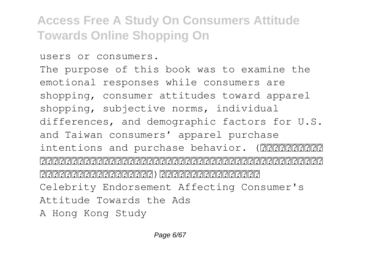```
users or consumers.
```
The purpose of this book was to examine the emotional responses while consumers are shopping, consumer attitudes toward apparel shopping, subjective norms, individual differences, and demographic factors for U.S. and Taiwan consumers' apparel purchase intentions and purchase behavior. (此書的目的是為探討台 تواخات اختلافا القادات المائية المائعات المائعات المائعات المائعات المائعات المائعات المائعات المائعات المائعات أفاقاقات الخالفات الماقات الماقات الماقات الماقات الماقات الماقات الماقات الماقات الماقات Celebrity Endorsement Affecting Consumer's Attitude Towards the Ads

A Hong Kong Study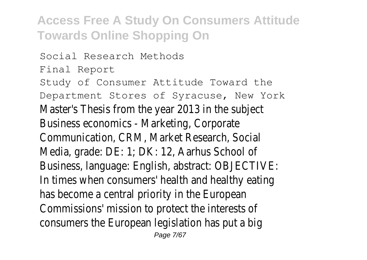Social Research Methods Final Report Study of Consumer Attitude Toward the Department Stores of Syracuse, New York Master's Thesis from the year 2013 in the subject Business economics - Marketing, Corporate Communication, CRM, Market Research, Social Media, grade: DE: 1; DK: 12, Aarhus School of Business, language: English, abstract: OBJECTIVE: In times when consumers' health and healthy eating has become a central priority in the European Commissions' mission to protect the interests of consumers the European legislation has put a big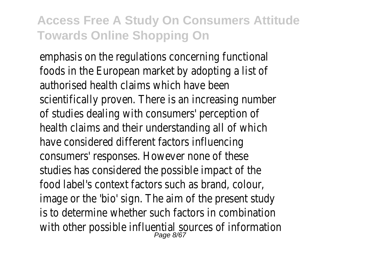emphasis on the regulations concerning functional foods in the European market by adopting a list of authorised health claims which have been scientifically proven. There is an increasing number of studies dealing with consumers' perception of health claims and their understanding all of which have considered different factors influencing consumers' responses. However none of these studies has considered the possible impact of the food label's context factors such as brand, colour, image or the 'bio' sign. The aim of the present study is to determine whether such factors in combination with other possible influential sources of information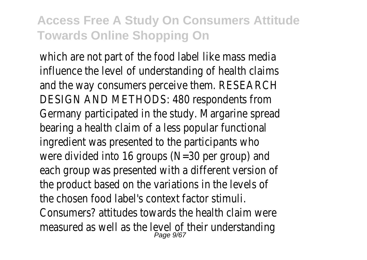which are not part of the food label like mass media influence the level of understanding of health claims and the way consumers perceive them. RESEARCH DESIGN AND METHODS: 480 respondents from Germany participated in the study. Margarine spread bearing a health claim of a less popular functional ingredient was presented to the participants who were divided into 16 groups (N=30 per group) and each group was presented with a different version of the product based on the variations in the levels of the chosen food label's context factor stimuli. Consumers? attitudes towards the health claim were measured as well as the level of their understanding<br> $P_{\text{age 9/67}}$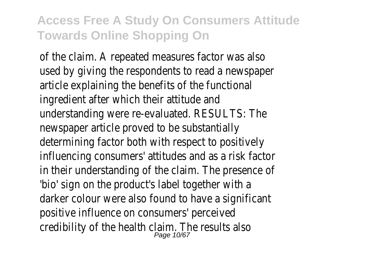of the claim. A repeated measures factor was also used by giving the respondents to read a newspaper article explaining the benefits of the functional ingredient after which their attitude and understanding were re-evaluated. RESULTS: The newspaper article proved to be substantially determining factor both with respect to positively influencing consumers' attitudes and as a risk factor in their understanding of the claim. The presence of 'bio' sign on the product's label together with a darker colour were also found to have a significant positive influence on consumers' perceived credibility of the health claim. The results also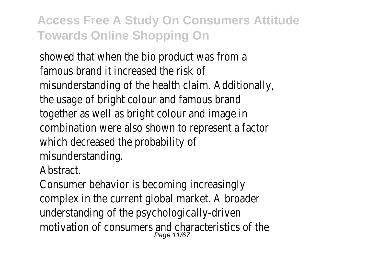showed that when the bio product was from a famous brand it increased the risk of misunderstanding of the health claim. Additionally, the usage of bright colour and famous brand together as well as bright colour and image in combination were also shown to represent a factor which decreased the probability of

misunderstanding.

Abstract.

Consumer behavior is becoming increasingly complex in the current global market. A broader understanding of the psychologically-driven motivation of consumers and characteristics of the  $_{Page\ 11/67}^{P_{\text{edge}}\ 11/67}$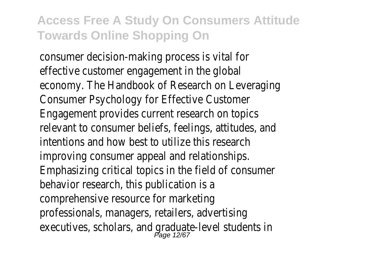consumer decision-making process is vital for effective customer engagement in the global economy. The Handbook of Research on Leveraging Consumer Psychology for Effective Customer Engagement provides current research on topics relevant to consumer beliefs, feelings, attitudes, and intentions and how best to utilize this research improving consumer appeal and relationships. Emphasizing critical topics in the field of consumer behavior research, this publication is a comprehensive resource for marketing professionals, managers, retailers, advertising executives, scholars, and graduate-level students in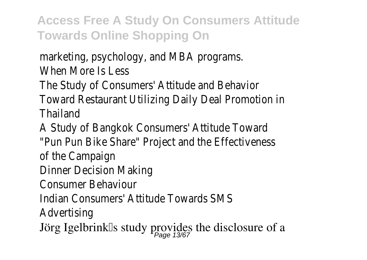marketing, psychology, and MBA programs. When More Is Less

The Study of Consumers' Attitude and Behavior Toward Restaurant Utilizing Daily Deal Promotion in Thailand

A Study of Bangkok Consumers' Attitude Toward "Pun Pun Bike Share" Project and the Effectiveness

of the Campaign

Dinner Decision Making

Consumer Behaviour

Indian Consumers' Attitude Towards SMS Advertising

Jörg Igelbrink $\mathbb{I}$ s study provides the disclosure of a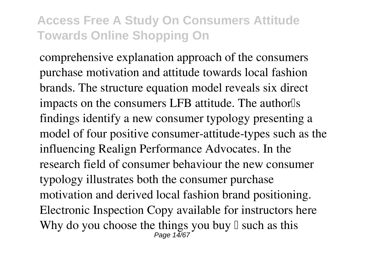comprehensive explanation approach of the consumers purchase motivation and attitude towards local fashion brands. The structure equation model reveals six direct impacts on the consumers LFB attitude. The author<sup>[1]</sup>s findings identify a new consumer typology presenting a model of four positive consumer-attitude-types such as the influencing Realign Performance Advocates. In the research field of consumer behaviour the new consumer typology illustrates both the consumer purchase motivation and derived local fashion brand positioning. Electronic Inspection Copy available for instructors here Why do you choose the things you buy  $\mathbb I$  such as this Page 14/67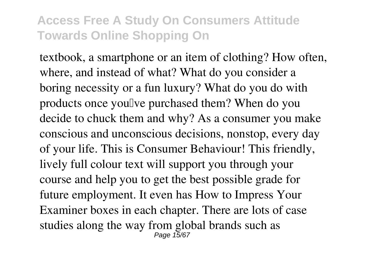textbook, a smartphone or an item of clothing? How often, where, and instead of what? What do you consider a boring necessity or a fun luxury? What do you do with products once you'lve purchased them? When do you decide to chuck them and why? As a consumer you make conscious and unconscious decisions, nonstop, every day of your life. This is Consumer Behaviour! This friendly, lively full colour text will support you through your course and help you to get the best possible grade for future employment. It even has How to Impress Your Examiner boxes in each chapter. There are lots of case studies along the way from global brands such as Page 15/67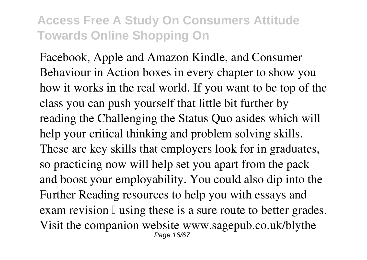Facebook, Apple and Amazon Kindle, and Consumer Behaviour in Action boxes in every chapter to show you how it works in the real world. If you want to be top of the class you can push yourself that little bit further by reading the Challenging the Status Quo asides which will help your critical thinking and problem solving skills. These are key skills that employers look for in graduates, so practicing now will help set you apart from the pack and boost your employability. You could also dip into the Further Reading resources to help you with essays and exam revision  $\mathbb I$  using these is a sure route to better grades. Visit the companion website www.sagepub.co.uk/blythe Page 16/67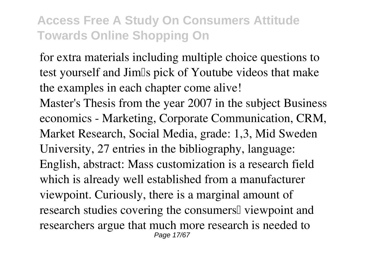for extra materials including multiple choice questions to test yourself and Jim's pick of Youtube videos that make the examples in each chapter come alive!

Master's Thesis from the year 2007 in the subject Business economics - Marketing, Corporate Communication, CRM, Market Research, Social Media, grade: 1,3, Mid Sweden University, 27 entries in the bibliography, language: English, abstract: Mass customization is a research field which is already well established from a manufacturer viewpoint. Curiously, there is a marginal amount of research studies covering the consumers<sup>[]</sup> viewpoint and researchers argue that much more research is needed to Page 17/67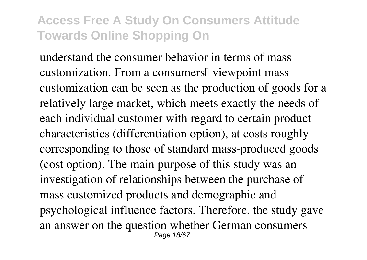understand the consumer behavior in terms of mass customization. From a consumers<sup>[]</sup> viewpoint mass customization can be seen as the production of goods for a relatively large market, which meets exactly the needs of each individual customer with regard to certain product characteristics (differentiation option), at costs roughly corresponding to those of standard mass-produced goods (cost option). The main purpose of this study was an investigation of relationships between the purchase of mass customized products and demographic and psychological influence factors. Therefore, the study gave an answer on the question whether German consumers Page 18/67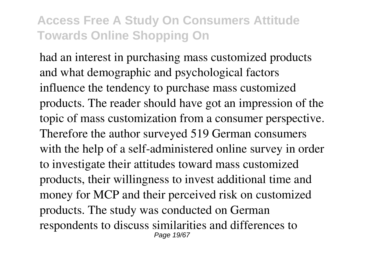had an interest in purchasing mass customized products and what demographic and psychological factors influence the tendency to purchase mass customized products. The reader should have got an impression of the topic of mass customization from a consumer perspective. Therefore the author surveyed 519 German consumers with the help of a self-administered online survey in order to investigate their attitudes toward mass customized products, their willingness to invest additional time and money for MCP and their perceived risk on customized products. The study was conducted on German respondents to discuss similarities and differences to Page 19/67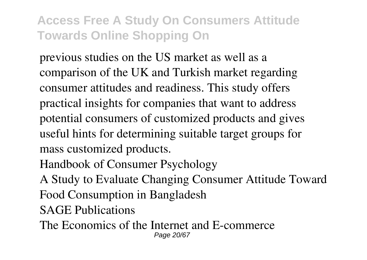previous studies on the US market as well as a comparison of the UK and Turkish market regarding consumer attitudes and readiness. This study offers practical insights for companies that want to address potential consumers of customized products and gives useful hints for determining suitable target groups for mass customized products.

Handbook of Consumer Psychology

A Study to Evaluate Changing Consumer Attitude Toward Food Consumption in Bangladesh

SAGE Publications

The Economics of the Internet and E-commerce Page 20/67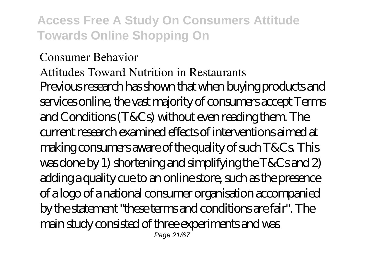#### Consumer Behavior

# Attitudes Toward Nutrition in Restaurants

Previous research has shown that when buying products and services online, the vast majority of consumers accept Terms and Conditions (T&Cs) without even reading them. The current research examined effects of interventions aimed at making consumers aware of the quality of such T&Cs. This was done by 1) shortening and simplifying the T&Cs and 2) adding a quality cue to an online store, such as the presence of a logo of a national consumer organisation accompanied by the statement "these terms and conditions are fair". The main study consisted of three experiments and was Page 21/67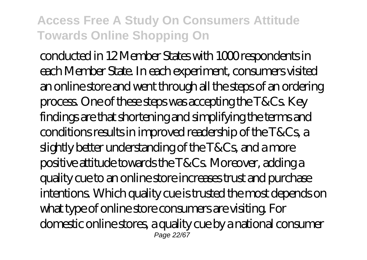conducted in 12 Member States with 1000 respondents in each Member State. In each experiment, consumers visited an online store and went through all the steps of an ordering process. One of these steps was accepting the T&Cs. Key findings are that shortening and simplifying the terms and conditions results in improved readership of the T&Cs, a slightly better understanding of the T&Cs, and a more positive attitude towards the T&Cs. Moreover, adding a quality cue to an online store increases trust and purchase intentions. Which quality cue is trusted the most depends on what type of online store consumers are visiting. For domestic online stores, a quality cue by a national consumer Page 22/67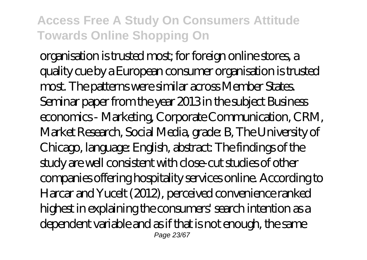organisation is trusted most; for foreign online stores, a quality cue by a European consumer organisation is trusted most. The patterns were similar across Member States. Seminar paper from the year 2013 in the subject Business economics - Marketing, Corporate Communication, CRM, Market Research, Social Media, grade: B, The University of Chicago, language: English, abstract: The findings of the study are well consistent with close-cut studies of other companies offering hospitality services online. According to Harcar and Yucelt (2012), perceived convenience ranked highest in explaining the consumers' search intention as a dependent variable and as if that is not enough, the same Page 23/67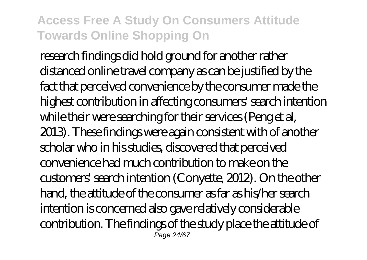research findings did hold ground for another rather distanced online travel company as can be justified by the fact that perceived convenience by the consumer made the highest contribution in affecting consumers' search intention while their were searching for their services (Peng et al, 2013). These findings were again consistent with of another scholar who in his studies, discovered that perceived convenience had much contribution to make on the customers' search intention (Conyette, 2012). On the other hand, the attitude of the consumer as far as his/her search intention is concerned also gave relatively considerable contribution. The findings of the study place the attitude of Page 24/67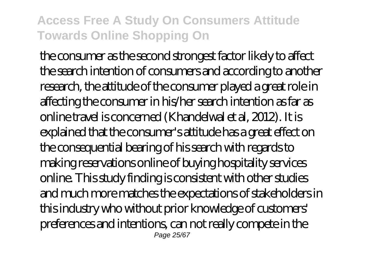the consumer as the second strongest factor likely to affect the search intention of consumers and according to another research, the attitude of the consumer played a great role in affecting the consumer in his/her search intention as far as online travel is concerned (Khandelwal et al, 2012). It is explained that the consumer's attitude has a great effect on the consequential bearing of his search with regards to making reservations online of buying hospitality services online. This study finding is consistent with other studies and much more matches the expectations of stakeholders in this industry who without prior knowledge of customers' preferences and intentions, can not really compete in the Page 25/67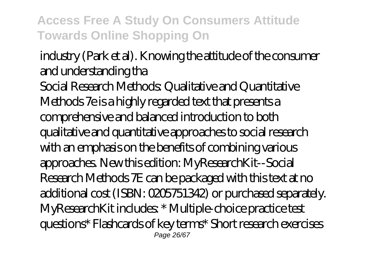#### industry (Park et al). Knowing the attitude of the consumer and understanding tha

Social Research Methods: Qualitative and Quantitative Methods 7e is a highly regarded text that presents a comprehensive and balanced introduction to both qualitative and quantitative approaches to social research with an emphasis on the benefits of combining various approaches. New this edition: MyResearchKit--Social Research Methods 7E can be packaged with this text at no additional cost (ISBN: 0205751342) or purchased separately. MyResearchKit includes: \* Multiple-choice practice test questions\* Flashcards of key terms\* Short research exercises Page 26/67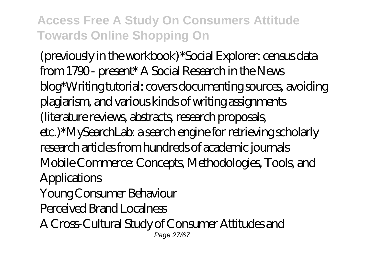(previously in the workbook)\*Social Explorer: census data from 1790- present<sup>\*</sup> A Social Research in the News blog\*Writing tutorial: covers documenting sources, avoiding plagiarism, and various kinds of writing assignments (literature reviews, abstracts, research proposals, etc.)\*MySearchLab: a search engine for retrieving scholarly research articles from hundreds of academic journals Mobile Commerce: Concepts, Methodologies, Tools, and **Applications** Young Consumer Behaviour Perceived Brand Localness A Cross-Cultural Study of Consumer Attitudes and Page 27/67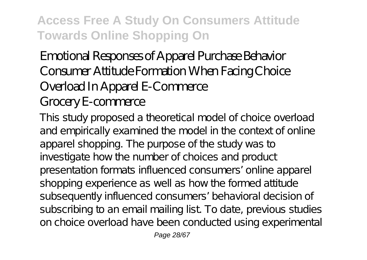# Emotional Responses of Apparel Purchase Behavior Consumer Attitude Formation When Facing Choice Overload In Apparel E-Commerce

#### Grocery E-commerce

This study proposed a theoretical model of choice overload and empirically examined the model in the context of online apparel shopping. The purpose of the study was to investigate how the number of choices and product presentation formats influenced consumers' online apparel shopping experience as well as how the formed attitude subsequently influenced consumers' behavioral decision of subscribing to an email mailing list. To date, previous studies on choice overload have been conducted using experimental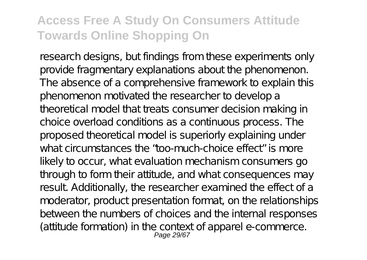research designs, but findings from these experiments only provide fragmentary explanations about the phenomenon. The absence of a comprehensive framework to explain this phenomenon motivated the researcher to develop a theoretical model that treats consumer decision making in choice overload conditions as a continuous process. The proposed theoretical model is superiorly explaining under what circumstances the "too-much-choice effect" is more likely to occur, what evaluation mechanism consumers go through to form their attitude, and what consequences may result. Additionally, the researcher examined the effect of a moderator, product presentation format, on the relationships between the numbers of choices and the internal responses (attitude formation) in the context of apparel e-commerce. Page 29/67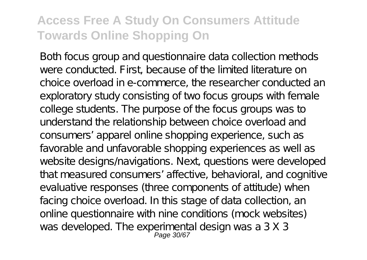Both focus group and questionnaire data collection methods were conducted. First, because of the limited literature on choice overload in e-commerce, the researcher conducted an exploratory study consisting of two focus groups with female college students. The purpose of the focus groups was to understand the relationship between choice overload and consumers' apparel online shopping experience, such as favorable and unfavorable shopping experiences as well as website designs/havigations. Next, questions were developed that measured consumers' affective, behavioral, and cognitive evaluative responses (three components of attitude) when facing choice overload. In this stage of data collection, an online questionnaire with nine conditions (mock websites) was developed. The experimental design was a 3 X 3 Page 30/67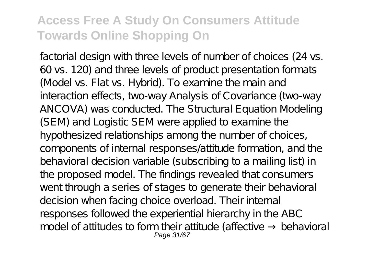factorial design with three levels of number of choices (24 vs. 60 vs. 120) and three levels of product presentation formats (Model vs. Flat vs. Hybrid). To examine the main and interaction effects, two-way Analysis of Covariance (two-way ANCOVA) was conducted. The Structural Equation Modeling (SEM) and Logistic SEM were applied to examine the hypothesized relationships among the number of choices, components of internal responses/attitude formation, and the behavioral decision variable (subscribing to a mailing list) in the proposed model. The findings revealed that consumers went through a series of stages to generate their behavioral decision when facing choice overload. Their internal responses followed the experiential hierarchy in the ABC model of attitudes to form their attitude (affective behavioral Page 31/67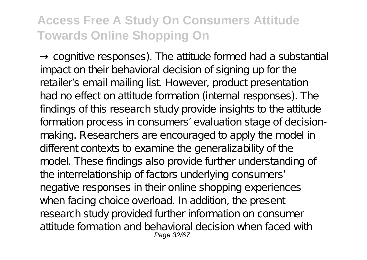cognitive responses). The attitude formed had a substantial impact on their behavioral decision of signing up for the retailer's email mailing list. However, product presentation had no effect on attitude formation (internal responses). The findings of this research study provide insights to the attitude formation process in consumers' evaluation stage of decisionmaking. Researchers are encouraged to apply the model in different contexts to examine the generalizability of the model. These findings also provide further understanding of the interrelationship of factors underlying consumers' negative responses in their online shopping experiences when facing choice overload. In addition, the present research study provided further information on consumer attitude formation and behavioral decision when faced with Page 32/67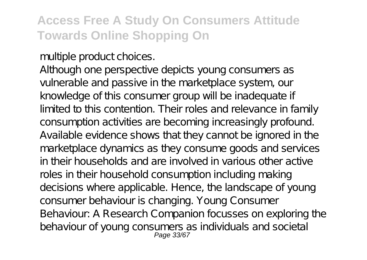multiple product choices.

Although one perspective depicts young consumers as vulnerable and passive in the marketplace system, our knowledge of this consumer group will be inadequate if limited to this contention. Their roles and relevance in family consumption activities are becoming increasingly profound. Available evidence shows that they cannot be ignored in the marketplace dynamics as they consume goods and services in their households and are involved in various other active roles in their household consumption including making decisions where applicable. Hence, the landscape of young consumer behaviour is changing. Young Consumer Behaviour: A Research Companion focusses on exploring the behaviour of young consumers as individuals and societal Page 33/67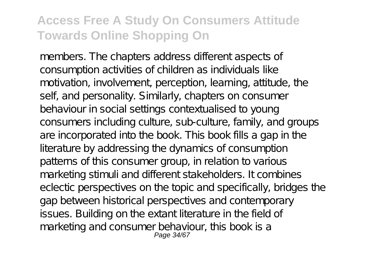members. The chapters address different aspects of consumption activities of children as individuals like motivation, involvement, perception, learning, attitude, the self, and personality. Similarly, chapters on consumer behaviour in social settings contextualised to young consumers including culture, sub-culture, family, and groups are incorporated into the book. This book fills a gap in the literature by addressing the dynamics of consumption patterns of this consumer group, in relation to various marketing stimuli and different stakeholders. It combines eclectic perspectives on the topic and specifically, bridges the gap between historical perspectives and contemporary issues. Building on the extant literature in the field of marketing and consumer behaviour, this book is a Page 34/6<sup>7</sup>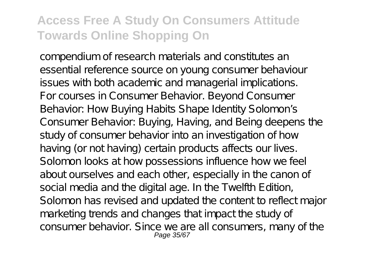compendium of research materials and constitutes an essential reference source on young consumer behaviour issues with both academic and managerial implications. For courses in Consumer Behavior. Beyond Consumer Behavior: How Buying Habits Shape Identity Solomon's Consumer Behavior: Buying, Having, and Being deepens the study of consumer behavior into an investigation of how having (or not having) certain products affects our lives. Solomon looks at how possessions influence how we feel about ourselves and each other, especially in the canon of social media and the digital age. In the Twelfth Edition, Solomon has revised and updated the content to reflect major marketing trends and changes that impact the study of consumer behavior. Since we are all consumers, many of the Page 35/67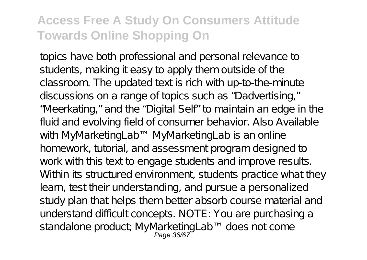topics have both professional and personal relevance to students, making it easy to apply them outside of the classroom. The updated text is rich with up-to-the-minute discussions on a range of topics such as "Dadvertising,"

"Meerkating," and the "Digital Self" to maintain an edge in the fluid and evolving field of consumer behavior. Also Available with MyMarketingLab™ MyMarketingLab is an online homework, tutorial, and assessment program designed to work with this text to engage students and improve results. Within its structured environment, students practice what they learn, test their understanding, and pursue a personalized study plan that helps them better absorb course material and understand difficult concepts. NOTE: You are purchasing a standalone product; MyMarketingLab™ does not come<br>Page 36/67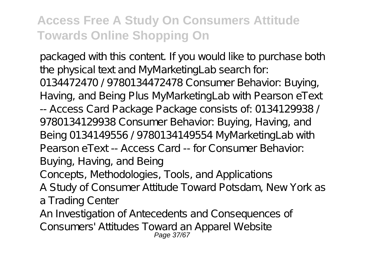packaged with this content. If you would like to purchase both the physical text and MyMarketingLab search for: 0134472470 / 9780134472478 Consumer Behavior: Buying, Having, and Being Plus MyMarketingLab with Pearson eText -- Access Card Package Package consists of: 0134129938 / 9780134129938 Consumer Behavior: Buying, Having, and Being 0134149556 / 9780134149554 MyMarketingLab with Pearson eText -- Access Card -- for Consumer Behavior: Buying, Having, and Being Concepts, Methodologies, Tools, and Applications A Study of Consumer Attitude Toward Potsdam, New York as a Trading Center An Investigation of Antecedents and Consequences of

Consumers' Attitudes Toward an Apparel Website Page 37/67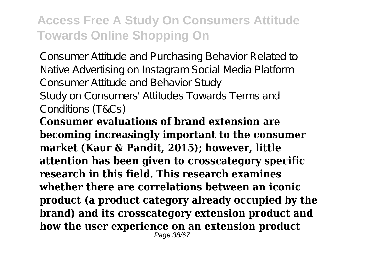Consumer Attitude and Purchasing Behavior Related to Native Advertising on Instagram Social Media Platform Consumer A ttitude and Behavior Study Study on Consumers' A titudes Towards Terms and Conditions (T&Cs)

**Consumer evaluations of brand extension are becoming increasingly important to the consumer market (Kaur & Pandit, 2015); however, little attention has been given to crosscategory specific research in this field. This research examines whether there are correlations between an iconic product (a product category already occupied by the brand) and its crosscategory extension product and how the user experience on an extension product** Page 38/67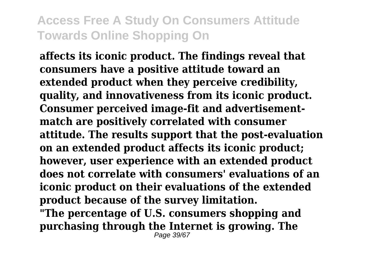**affects its iconic product. The findings reveal that consumers have a positive attitude toward an extended product when they perceive credibility, quality, and innovativeness from its iconic product. Consumer perceived image-fit and advertisementmatch are positively correlated with consumer attitude. The results support that the post-evaluation on an extended product affects its iconic product; however, user experience with an extended product does not correlate with consumers' evaluations of an iconic product on their evaluations of the extended product because of the survey limitation.**

**"The percentage of U.S. consumers shopping and purchasing through the Internet is growing. The** Page 39/67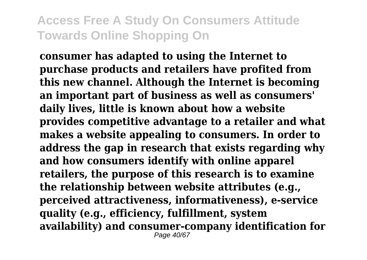**consumer has adapted to using the Internet to purchase products and retailers have profited from this new channel. Although the Internet is becoming an important part of business as well as consumers' daily lives, little is known about how a website provides competitive advantage to a retailer and what makes a website appealing to consumers. In order to address the gap in research that exists regarding why and how consumers identify with online apparel retailers, the purpose of this research is to examine the relationship between website attributes (e.g., perceived attractiveness, informativeness), e-service quality (e.g., efficiency, fulfillment, system availability) and consumer-company identification for** Page 40/67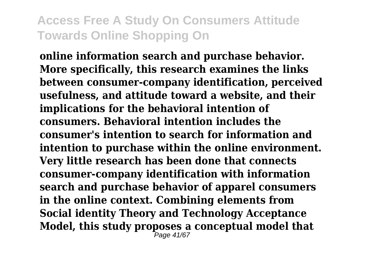**online information search and purchase behavior. More specifically, this research examines the links between consumer-company identification, perceived usefulness, and attitude toward a website, and their implications for the behavioral intention of consumers. Behavioral intention includes the consumer's intention to search for information and intention to purchase within the online environment. Very little research has been done that connects consumer-company identification with information search and purchase behavior of apparel consumers in the online context. Combining elements from Social identity Theory and Technology Acceptance Model, this study proposes a conceptual model that** Page 41/67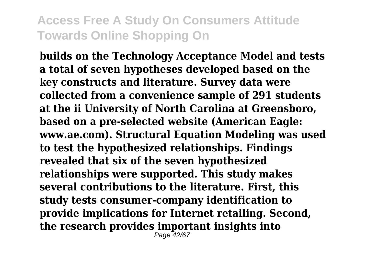**builds on the Technology Acceptance Model and tests a total of seven hypotheses developed based on the key constructs and literature. Survey data were collected from a convenience sample of 291 students at the ii University of North Carolina at Greensboro, based on a pre-selected website (American Eagle: www.ae.com). Structural Equation Modeling was used to test the hypothesized relationships. Findings revealed that six of the seven hypothesized relationships were supported. This study makes several contributions to the literature. First, this study tests consumer-company identification to provide implications for Internet retailing. Second, the research provides important insights into** Page 42/67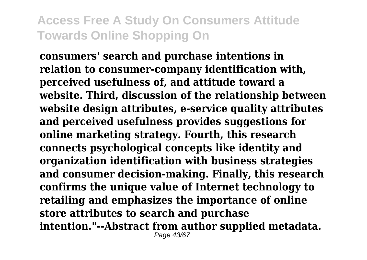**consumers' search and purchase intentions in relation to consumer-company identification with, perceived usefulness of, and attitude toward a website. Third, discussion of the relationship between website design attributes, e-service quality attributes and perceived usefulness provides suggestions for online marketing strategy. Fourth, this research connects psychological concepts like identity and organization identification with business strategies and consumer decision-making. Finally, this research confirms the unique value of Internet technology to retailing and emphasizes the importance of online store attributes to search and purchase intention."--Abstract from author supplied metadata.** Page 43/67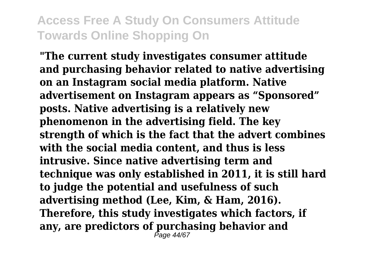**"The current study investigates consumer attitude and purchasing behavior related to native advertising on an Instagram social media platform. Native advertisement on Instagram appears as "Sponsored" posts. Native advertising is a relatively new phenomenon in the advertising field. The key strength of which is the fact that the advert combines with the social media content, and thus is less intrusive. Since native advertising term and technique was only established in 2011, it is still hard to judge the potential and usefulness of such advertising method (Lee, Kim, & Ham, 2016). Therefore, this study investigates which factors, if any, are predictors of purchasing behavior and** Page 44/67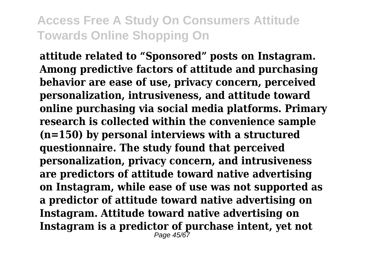**attitude related to "Sponsored" posts on Instagram. Among predictive factors of attitude and purchasing behavior are ease of use, privacy concern, perceived personalization, intrusiveness, and attitude toward online purchasing via social media platforms. Primary research is collected within the convenience sample (n=150) by personal interviews with a structured questionnaire. The study found that perceived personalization, privacy concern, and intrusiveness are predictors of attitude toward native advertising on Instagram, while ease of use was not supported as a predictor of attitude toward native advertising on Instagram. Attitude toward native advertising on Instagram is a predictor of purchase intent, yet not** Page 45/67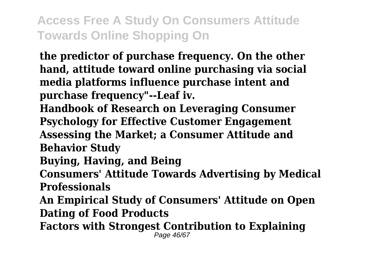**the predictor of purchase frequency. On the other hand, attitude toward online purchasing via social media platforms influence purchase intent and purchase frequency"--Leaf iv.**

**Handbook of Research on Leveraging Consumer Psychology for Effective Customer Engagement Assessing the Market; a Consumer Attitude and Behavior Study**

**Buying, Having, and Being**

**Consumers' Attitude Towards Advertising by Medical Professionals**

**An Empirical Study of Consumers' Attitude on Open Dating of Food Products**

**Factors with Strongest Contribution to Explaining** Page 46/67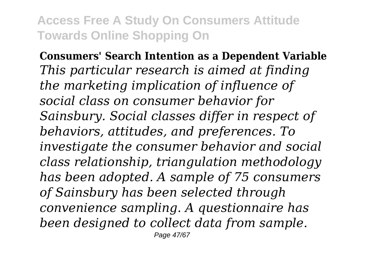**Consumers' Search Intention as a Dependent Variable** *This particular research is aimed at finding the marketing implication of influence of social class on consumer behavior for Sainsbury. Social classes differ in respect of behaviors, attitudes, and preferences. To investigate the consumer behavior and social class relationship, triangulation methodology has been adopted. A sample of 75 consumers of Sainsbury has been selected through convenience sampling. A questionnaire has been designed to collect data from sample.* Page 47/67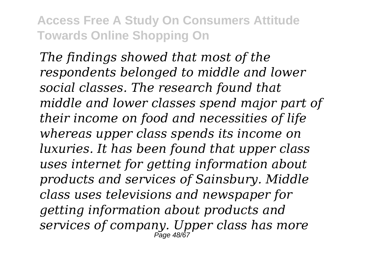*The findings showed that most of the respondents belonged to middle and lower social classes. The research found that middle and lower classes spend major part of their income on food and necessities of life whereas upper class spends its income on luxuries. It has been found that upper class uses internet for getting information about products and services of Sainsbury. Middle class uses televisions and newspaper for getting information about products and services of company. Upper class has more* Page 48/67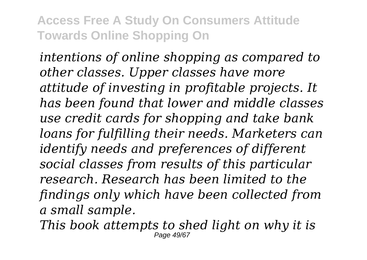*intentions of online shopping as compared to other classes. Upper classes have more attitude of investing in profitable projects. It has been found that lower and middle classes use credit cards for shopping and take bank loans for fulfilling their needs. Marketers can identify needs and preferences of different social classes from results of this particular research. Research has been limited to the findings only which have been collected from a small sample.*

*This book attempts to shed light on why it is* Page 49/67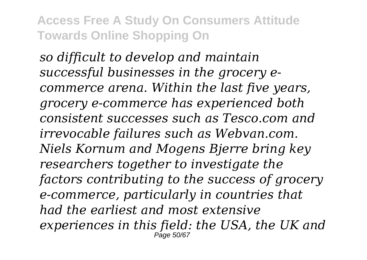*so difficult to develop and maintain successful businesses in the grocery ecommerce arena. Within the last five years, grocery e-commerce has experienced both consistent successes such as Tesco.com and irrevocable failures such as Webvan.com. Niels Kornum and Mogens Bjerre bring key researchers together to investigate the factors contributing to the success of grocery e-commerce, particularly in countries that had the earliest and most extensive experiences in this field: the USA, the UK and* Page 50/67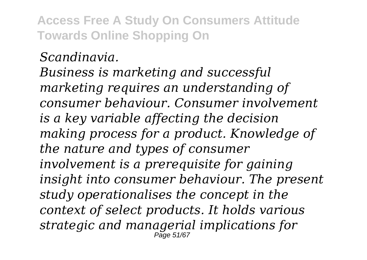#### *Scandinavia.*

*Business is marketing and successful marketing requires an understanding of consumer behaviour. Consumer involvement is a key variable affecting the decision making process for a product. Knowledge of the nature and types of consumer involvement is a prerequisite for gaining insight into consumer behaviour. The present study operationalises the concept in the context of select products. It holds various strategic and managerial implications for* Page 51/67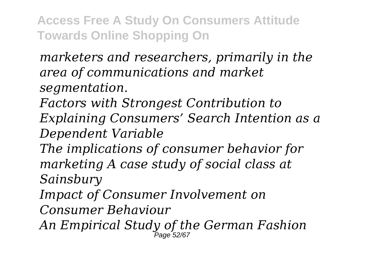*marketers and researchers, primarily in the area of communications and market segmentation.*

*Factors with Strongest Contribution to Explaining Consumers' Search Intention as a Dependent Variable*

*The implications of consumer behavior for marketing A case study of social class at Sainsbury*

*Impact of Consumer Involvement on*

*Consumer Behaviour*

*An Empirical Study of the German Fashion* Page 52/67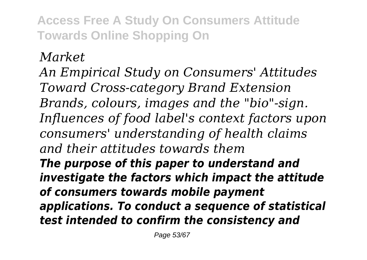# *Market*

*An Empirical Study on Consumers' Attitudes Toward Cross-category Brand Extension Brands, colours, images and the "bio"-sign. Influences of food label's context factors upon consumers' understanding of health claims and their attitudes towards them The purpose of this paper to understand and investigate the factors which impact the attitude of consumers towards mobile payment applications. To conduct a sequence of statistical test intended to confirm the consistency and*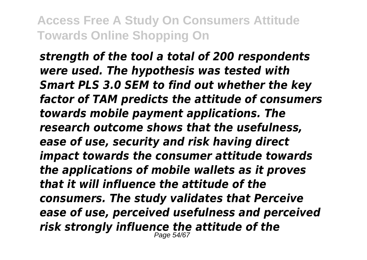*strength of the tool a total of 200 respondents were used. The hypothesis was tested with Smart PLS 3.0 SEM to find out whether the key factor of TAM predicts the attitude of consumers towards mobile payment applications. The research outcome shows that the usefulness, ease of use, security and risk having direct impact towards the consumer attitude towards the applications of mobile wallets as it proves that it will influence the attitude of the consumers. The study validates that Perceive ease of use, perceived usefulness and perceived risk strongly influence the attitude of the* Page 54/67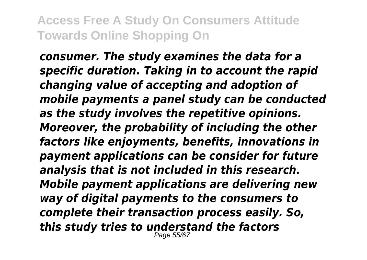*consumer. The study examines the data for a specific duration. Taking in to account the rapid changing value of accepting and adoption of mobile payments a panel study can be conducted as the study involves the repetitive opinions. Moreover, the probability of including the other factors like enjoyments, benefits, innovations in payment applications can be consider for future analysis that is not included in this research. Mobile payment applications are delivering new way of digital payments to the consumers to complete their transaction process easily. So, this study tries to understand the factors* Page 55/67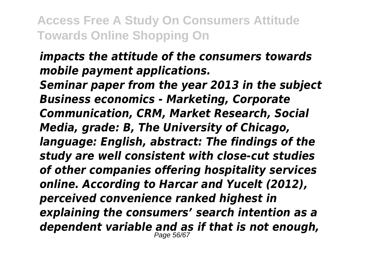#### *impacts the attitude of the consumers towards mobile payment applications.*

*Seminar paper from the year 2013 in the subject Business economics - Marketing, Corporate Communication, CRM, Market Research, Social Media, grade: B, The University of Chicago, language: English, abstract: The findings of the study are well consistent with close-cut studies of other companies offering hospitality services online. According to Harcar and Yucelt (2012), perceived convenience ranked highest in explaining the consumers' search intention as a dependent variable and as if that is not enough,* Page 56/67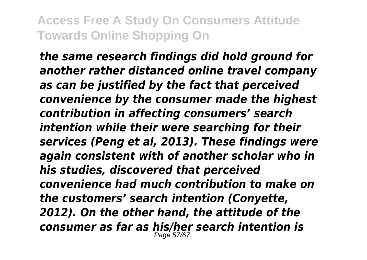*the same research findings did hold ground for another rather distanced online travel company as can be justified by the fact that perceived convenience by the consumer made the highest contribution in affecting consumers' search intention while their were searching for their services (Peng et al, 2013). These findings were again consistent with of another scholar who in his studies, discovered that perceived convenience had much contribution to make on the customers' search intention (Conyette, 2012). On the other hand, the attitude of the consumer as far as his/her search intention is* Page 57/67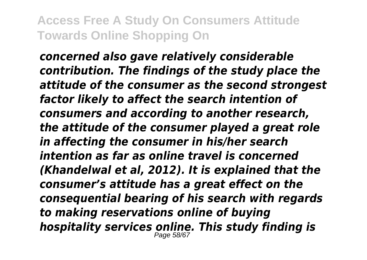*concerned also gave relatively considerable contribution. The findings of the study place the attitude of the consumer as the second strongest factor likely to affect the search intention of consumers and according to another research, the attitude of the consumer played a great role in affecting the consumer in his/her search intention as far as online travel is concerned (Khandelwal et al, 2012). It is explained that the consumer's attitude has a great effect on the consequential bearing of his search with regards to making reservations online of buying hospitality services online. This study finding is* Page 58/67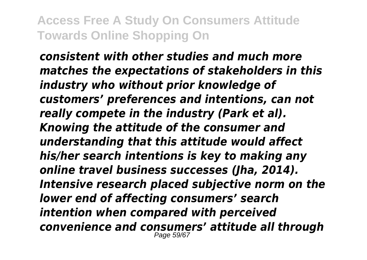*consistent with other studies and much more matches the expectations of stakeholders in this industry who without prior knowledge of customers' preferences and intentions, can not really compete in the industry (Park et al). Knowing the attitude of the consumer and understanding that this attitude would affect his/her search intentions is key to making any online travel business successes (Jha, 2014). Intensive research placed subjective norm on the lower end of affecting consumers' search intention when compared with perceived convenience and consumers' attitude all through* Page 59/67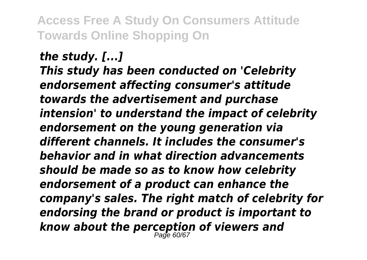*the study. [...] This study has been conducted on 'Celebrity endorsement affecting consumer's attitude towards the advertisement and purchase intension' to understand the impact of celebrity endorsement on the young generation via different channels. It includes the consumer's behavior and in what direction advancements should be made so as to know how celebrity endorsement of a product can enhance the company's sales. The right match of celebrity for endorsing the brand or product is important to know about the perception of viewers and* Page 60/67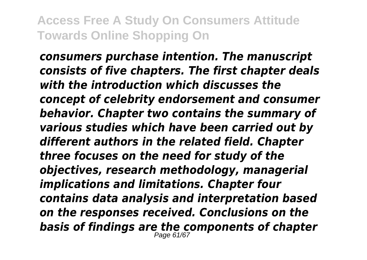*consumers purchase intention. The manuscript consists of five chapters. The first chapter deals with the introduction which discusses the concept of celebrity endorsement and consumer behavior. Chapter two contains the summary of various studies which have been carried out by different authors in the related field. Chapter three focuses on the need for study of the objectives, research methodology, managerial implications and limitations. Chapter four contains data analysis and interpretation based on the responses received. Conclusions on the basis of findings are the components of chapter* Page 61/67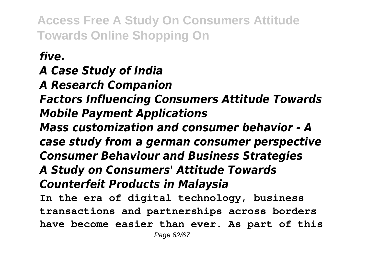#### *five.*

# *A Case Study of India*

#### *A Research Companion*

*Factors Influencing Consumers Attitude Towards Mobile Payment Applications*

*Mass customization and consumer behavior - A case study from a german consumer perspective Consumer Behaviour and Business Strategies A Study on Consumers' Attitude Towards Counterfeit Products in Malaysia* **In the era of digital technology, business transactions and partnerships across borders have become easier than ever. As part of this**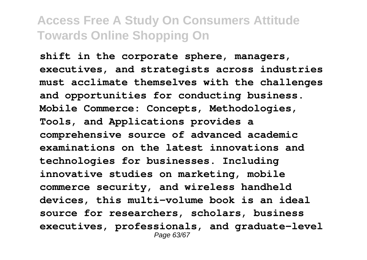**shift in the corporate sphere, managers, executives, and strategists across industries must acclimate themselves with the challenges and opportunities for conducting business. Mobile Commerce: Concepts, Methodologies, Tools, and Applications provides a comprehensive source of advanced academic examinations on the latest innovations and technologies for businesses. Including innovative studies on marketing, mobile commerce security, and wireless handheld devices, this multi-volume book is an ideal source for researchers, scholars, business executives, professionals, and graduate-level** Page 63/67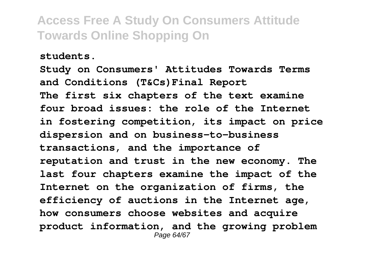#### **students.**

**Study on Consumers' Attitudes Towards Terms and Conditions (T&Cs)Final Report The first six chapters of the text examine four broad issues: the role of the Internet in fostering competition, its impact on price dispersion and on business-to-business transactions, and the importance of reputation and trust in the new economy. The last four chapters examine the impact of the Internet on the organization of firms, the efficiency of auctions in the Internet age, how consumers choose websites and acquire product information, and the growing problem** Page 64/67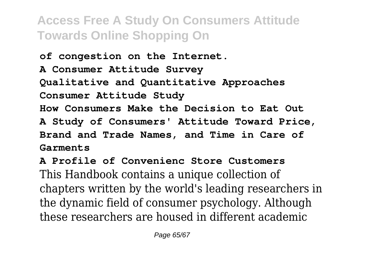**of congestion on the Internet. A Consumer Attitude Survey Qualitative and Quantitative Approaches Consumer Attitude Study How Consumers Make the Decision to Eat Out A Study of Consumers' Attitude Toward Price, Brand and Trade Names, and Time in Care of Garments**

**A Profile of Convenienc Store Customers** This Handbook contains a unique collection of chapters written by the world's leading researchers in the dynamic field of consumer psychology. Although these researchers are housed in different academic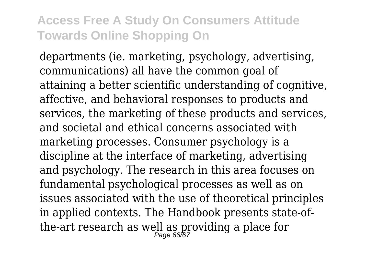departments (ie. marketing, psychology, advertising, communications) all have the common goal of attaining a better scientific understanding of cognitive, affective, and behavioral responses to products and services, the marketing of these products and services, and societal and ethical concerns associated with marketing processes. Consumer psychology is a discipline at the interface of marketing, advertising and psychology. The research in this area focuses on fundamental psychological processes as well as on issues associated with the use of theoretical principles in applied contexts. The Handbook presents state-ofthe-art research as well as providing a place for<br>Page 66%7